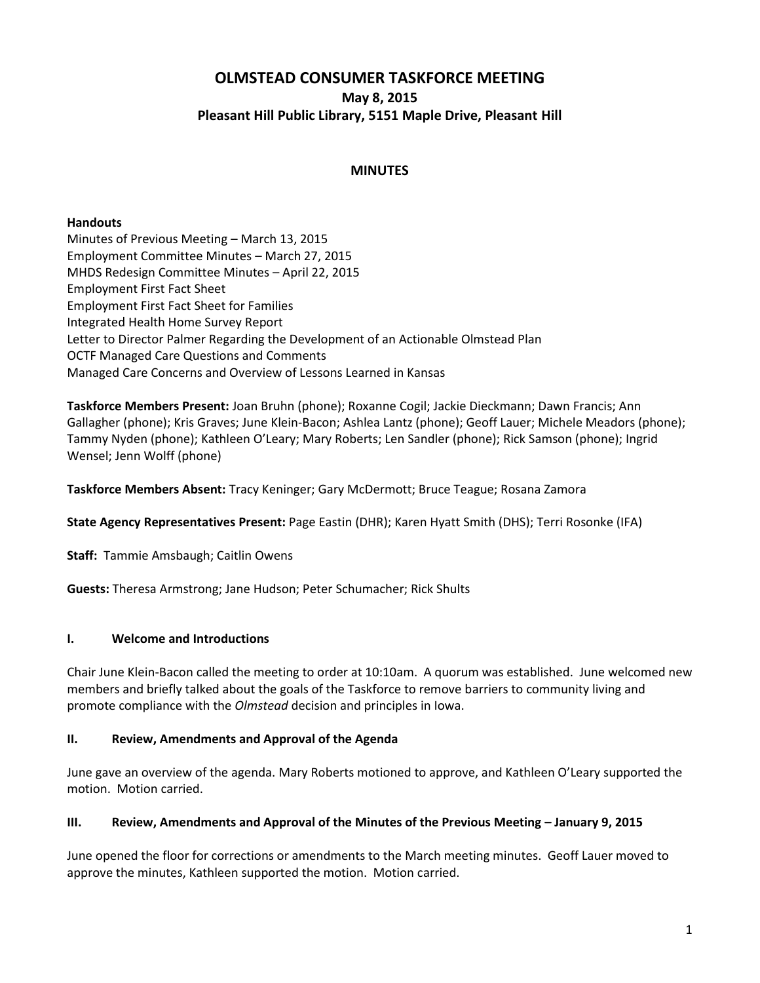# **OLMSTEAD CONSUMER TASKFORCE MEETING May 8, 2015 Pleasant Hill Public Library, 5151 Maple Drive, Pleasant Hill**

### **MINUTES**

#### **Handouts**

Minutes of Previous Meeting – March 13, 2015 Employment Committee Minutes – March 27, 2015 MHDS Redesign Committee Minutes – April 22, 2015 Employment First Fact Sheet Employment First Fact Sheet for Families Integrated Health Home Survey Report Letter to Director Palmer Regarding the Development of an Actionable Olmstead Plan OCTF Managed Care Questions and Comments Managed Care Concerns and Overview of Lessons Learned in Kansas

**Taskforce Members Present:** Joan Bruhn (phone); Roxanne Cogil; Jackie Dieckmann; Dawn Francis; Ann Gallagher (phone); Kris Graves; June Klein-Bacon; Ashlea Lantz (phone); Geoff Lauer; Michele Meadors (phone); Tammy Nyden (phone); Kathleen O'Leary; Mary Roberts; Len Sandler (phone); Rick Samson (phone); Ingrid Wensel; Jenn Wolff (phone)

**Taskforce Members Absent:** Tracy Keninger; Gary McDermott; Bruce Teague; Rosana Zamora

**State Agency Representatives Present:** Page Eastin (DHR); Karen Hyatt Smith (DHS); Terri Rosonke (IFA)

**Staff:** Tammie Amsbaugh; Caitlin Owens

**Guests:** Theresa Armstrong; Jane Hudson; Peter Schumacher; Rick Shults

#### **I. Welcome and Introductions**

Chair June Klein-Bacon called the meeting to order at 10:10am. A quorum was established. June welcomed new members and briefly talked about the goals of the Taskforce to remove barriers to community living and promote compliance with the *Olmstead* decision and principles in Iowa.

#### **II. Review, Amendments and Approval of the Agenda**

June gave an overview of the agenda. Mary Roberts motioned to approve, and Kathleen O'Leary supported the motion. Motion carried.

#### **III. Review, Amendments and Approval of the Minutes of the Previous Meeting – January 9, 2015**

June opened the floor for corrections or amendments to the March meeting minutes. Geoff Lauer moved to approve the minutes, Kathleen supported the motion. Motion carried.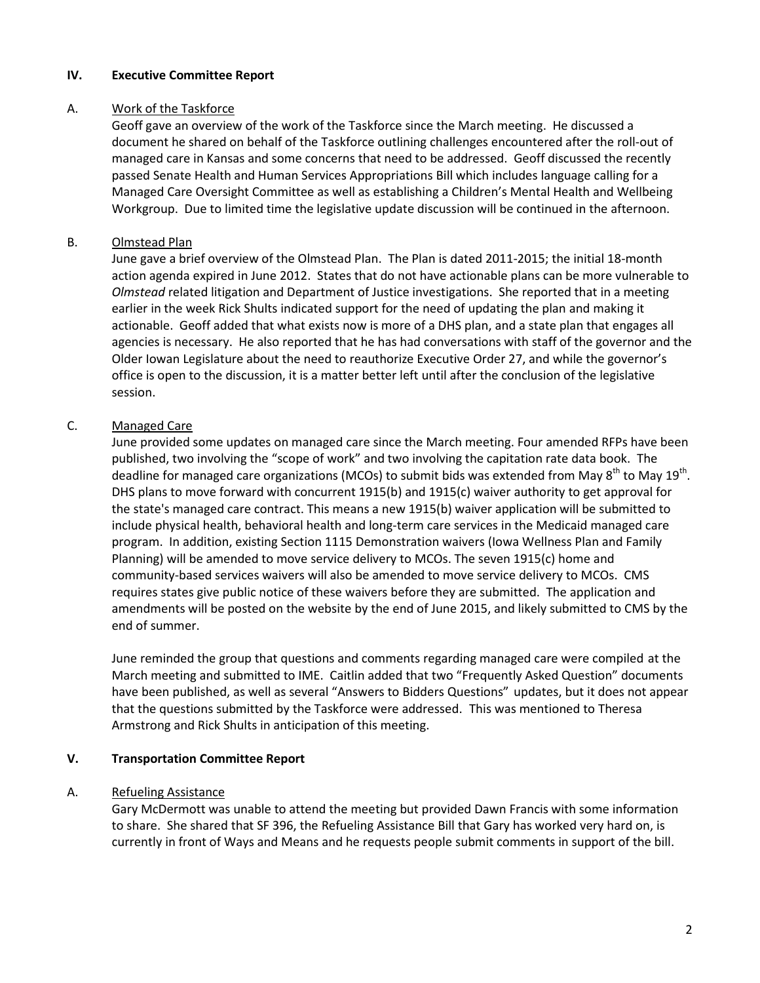#### **IV. Executive Committee Report**

#### A. Work of the Taskforce

Geoff gave an overview of the work of the Taskforce since the March meeting. He discussed a document he shared on behalf of the Taskforce outlining challenges encountered after the roll-out of managed care in Kansas and some concerns that need to be addressed. Geoff discussed the recently passed Senate Health and Human Services Appropriations Bill which includes language calling for a Managed Care Oversight Committee as well as establishing a Children's Mental Health and Wellbeing Workgroup. Due to limited time the legislative update discussion will be continued in the afternoon.

### B. Olmstead Plan

June gave a brief overview of the Olmstead Plan. The Plan is dated 2011-2015; the initial 18-month action agenda expired in June 2012. States that do not have actionable plans can be more vulnerable to *Olmstead* related litigation and Department of Justice investigations. She reported that in a meeting earlier in the week Rick Shults indicated support for the need of updating the plan and making it actionable. Geoff added that what exists now is more of a DHS plan, and a state plan that engages all agencies is necessary. He also reported that he has had conversations with staff of the governor and the Older Iowan Legislature about the need to reauthorize Executive Order 27, and while the governor's office is open to the discussion, it is a matter better left until after the conclusion of the legislative session.

# C. Managed Care

June provided some updates on managed care since the March meeting. Four amended RFPs have been published, two involving the "scope of work" and two involving the capitation rate data book. The deadline for managed care organizations (MCOs) to submit bids was extended from May  $8^{th}$  to May 19<sup>th</sup>. DHS plans to move forward with concurrent 1915(b) and 1915(c) waiver authority to get approval for the state's managed care contract. This means a new 1915(b) waiver application will be submitted to include physical health, behavioral health and long-term care services in the Medicaid managed care program. In addition, existing Section 1115 Demonstration waivers (Iowa Wellness Plan and Family Planning) will be amended to move service delivery to MCOs. The seven 1915(c) home and community-based services waivers will also be amended to move service delivery to MCOs. CMS requires states give public notice of these waivers before they are submitted. The application and amendments will be posted on the website by the end of June 2015, and likely submitted to CMS by the end of summer.

June reminded the group that questions and comments regarding managed care were compiled at the March meeting and submitted to IME. Caitlin added that two "Frequently Asked Question" documents have been published, as well as several "Answers to Bidders Questions" updates, but it does not appear that the questions submitted by the Taskforce were addressed. This was mentioned to Theresa Armstrong and Rick Shults in anticipation of this meeting.

#### **V. Transportation Committee Report**

#### A. Refueling Assistance

Gary McDermott was unable to attend the meeting but provided Dawn Francis with some information to share. She shared that SF 396, the Refueling Assistance Bill that Gary has worked very hard on, is currently in front of Ways and Means and he requests people submit comments in support of the bill.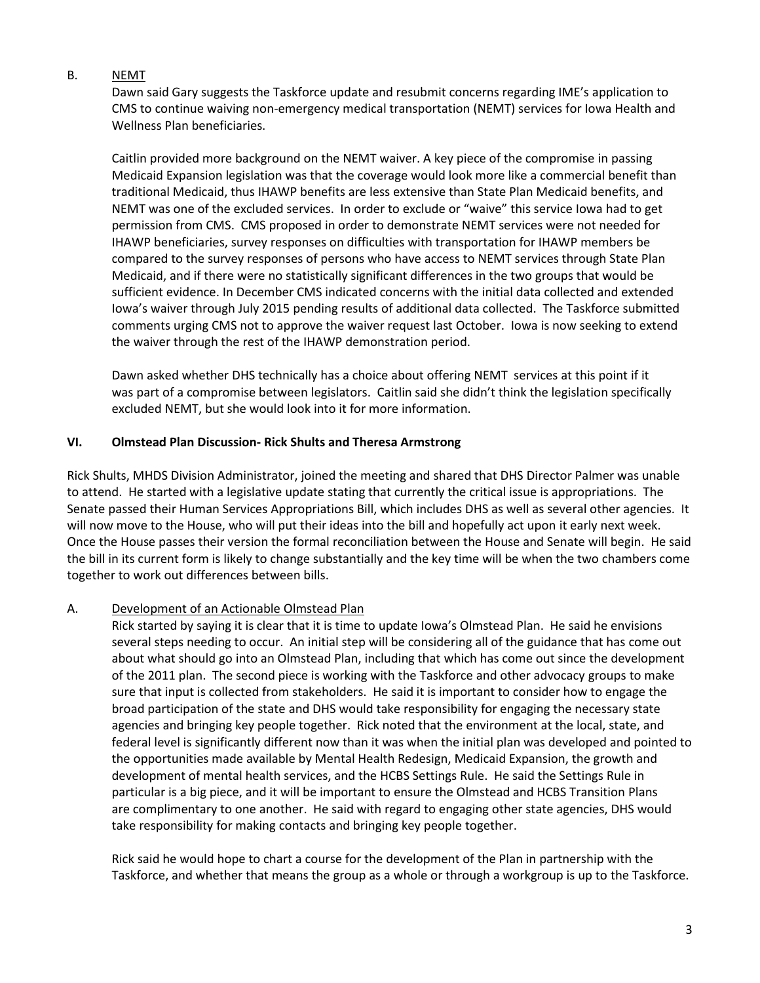### B. NEMT

Dawn said Gary suggests the Taskforce update and resubmit concerns regarding IME's application to CMS to continue waiving non-emergency medical transportation (NEMT) services for Iowa Health and Wellness Plan beneficiaries.

Caitlin provided more background on the NEMT waiver. A key piece of the compromise in passing Medicaid Expansion legislation was that the coverage would look more like a commercial benefit than traditional Medicaid, thus IHAWP benefits are less extensive than State Plan Medicaid benefits, and NEMT was one of the excluded services. In order to exclude or "waive" this service Iowa had to get permission from CMS. CMS proposed in order to demonstrate NEMT services were not needed for IHAWP beneficiaries, survey responses on difficulties with transportation for IHAWP members be compared to the survey responses of persons who have access to NEMT services through State Plan Medicaid, and if there were no statistically significant differences in the two groups that would be sufficient evidence. In December CMS indicated concerns with the initial data collected and extended Iowa's waiver through July 2015 pending results of additional data collected. The Taskforce submitted comments urging CMS not to approve the waiver request last October. Iowa is now seeking to extend the waiver through the rest of the IHAWP demonstration period.

Dawn asked whether DHS technically has a choice about offering NEMT services at this point if it was part of a compromise between legislators. Caitlin said she didn't think the legislation specifically excluded NEMT, but she would look into it for more information.

#### **VI. Olmstead Plan Discussion- Rick Shults and Theresa Armstrong**

Rick Shults, MHDS Division Administrator, joined the meeting and shared that DHS Director Palmer was unable to attend. He started with a legislative update stating that currently the critical issue is appropriations. The Senate passed their Human Services Appropriations Bill, which includes DHS as well as several other agencies. It will now move to the House, who will put their ideas into the bill and hopefully act upon it early next week. Once the House passes their version the formal reconciliation between the House and Senate will begin. He said the bill in its current form is likely to change substantially and the key time will be when the two chambers come together to work out differences between bills.

#### A. Development of an Actionable Olmstead Plan

Rick started by saying it is clear that it is time to update Iowa's Olmstead Plan. He said he envisions several steps needing to occur. An initial step will be considering all of the guidance that has come out about what should go into an Olmstead Plan, including that which has come out since the development of the 2011 plan. The second piece is working with the Taskforce and other advocacy groups to make sure that input is collected from stakeholders. He said it is important to consider how to engage the broad participation of the state and DHS would take responsibility for engaging the necessary state agencies and bringing key people together. Rick noted that the environment at the local, state, and federal level is significantly different now than it was when the initial plan was developed and pointed to the opportunities made available by Mental Health Redesign, Medicaid Expansion, the growth and development of mental health services, and the HCBS Settings Rule. He said the Settings Rule in particular is a big piece, and it will be important to ensure the Olmstead and HCBS Transition Plans are complimentary to one another. He said with regard to engaging other state agencies, DHS would take responsibility for making contacts and bringing key people together.

Rick said he would hope to chart a course for the development of the Plan in partnership with the Taskforce, and whether that means the group as a whole or through a workgroup is up to the Taskforce.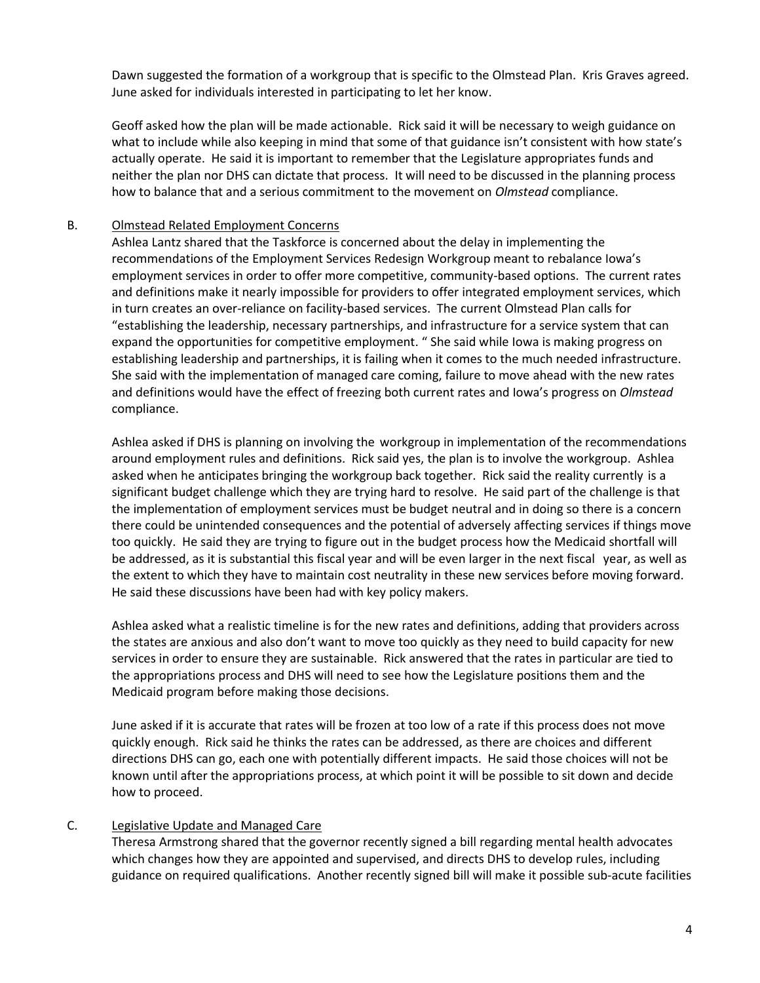Dawn suggested the formation of a workgroup that is specific to the Olmstead Plan. Kris Graves agreed. June asked for individuals interested in participating to let her know.

Geoff asked how the plan will be made actionable. Rick said it will be necessary to weigh guidance on what to include while also keeping in mind that some of that guidance isn't consistent with how state's actually operate. He said it is important to remember that the Legislature appropriates funds and neither the plan nor DHS can dictate that process. It will need to be discussed in the planning process how to balance that and a serious commitment to the movement on *Olmstead* compliance.

### B. Olmstead Related Employment Concerns

Ashlea Lantz shared that the Taskforce is concerned about the delay in implementing the recommendations of the Employment Services Redesign Workgroup meant to rebalance Iowa's employment services in order to offer more competitive, community-based options. The current rates and definitions make it nearly impossible for providers to offer integrated employment services, which in turn creates an over-reliance on facility-based services. The current Olmstead Plan calls for "establishing the leadership, necessary partnerships, and infrastructure for a service system that can expand the opportunities for competitive employment. " She said while Iowa is making progress on establishing leadership and partnerships, it is failing when it comes to the much needed infrastructure. She said with the implementation of managed care coming, failure to move ahead with the new rates and definitions would have the effect of freezing both current rates and Iowa's progress on *Olmstead* compliance.

Ashlea asked if DHS is planning on involving the workgroup in implementation of the recommendations around employment rules and definitions. Rick said yes, the plan is to involve the workgroup. Ashlea asked when he anticipates bringing the workgroup back together. Rick said the reality currently is a significant budget challenge which they are trying hard to resolve. He said part of the challenge is that the implementation of employment services must be budget neutral and in doing so there is a concern there could be unintended consequences and the potential of adversely affecting services if things move too quickly. He said they are trying to figure out in the budget process how the Medicaid shortfall will be addressed, as it is substantial this fiscal year and will be even larger in the next fiscal year, as well as the extent to which they have to maintain cost neutrality in these new services before moving forward. He said these discussions have been had with key policy makers.

Ashlea asked what a realistic timeline is for the new rates and definitions, adding that providers across the states are anxious and also don't want to move too quickly as they need to build capacity for new services in order to ensure they are sustainable. Rick answered that the rates in particular are tied to the appropriations process and DHS will need to see how the Legislature positions them and the Medicaid program before making those decisions.

June asked if it is accurate that rates will be frozen at too low of a rate if this process does not move quickly enough. Rick said he thinks the rates can be addressed, as there are choices and different directions DHS can go, each one with potentially different impacts. He said those choices will not be known until after the appropriations process, at which point it will be possible to sit down and decide how to proceed.

# C. Legislative Update and Managed Care

Theresa Armstrong shared that the governor recently signed a bill regarding mental health advocates which changes how they are appointed and supervised, and directs DHS to develop rules, including guidance on required qualifications. Another recently signed bill will make it possible sub-acute facilities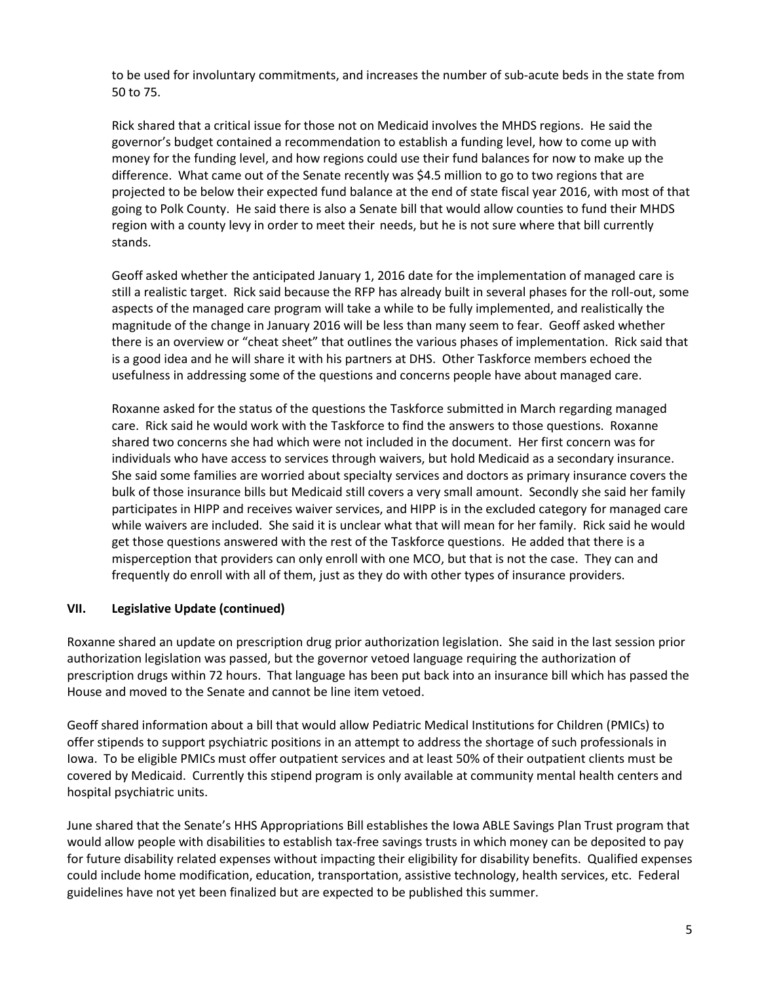to be used for involuntary commitments, and increases the number of sub-acute beds in the state from 50 to 75.

Rick shared that a critical issue for those not on Medicaid involves the MHDS regions. He said the governor's budget contained a recommendation to establish a funding level, how to come up with money for the funding level, and how regions could use their fund balances for now to make up the difference. What came out of the Senate recently was \$4.5 million to go to two regions that are projected to be below their expected fund balance at the end of state fiscal year 2016, with most of that going to Polk County. He said there is also a Senate bill that would allow counties to fund their MHDS region with a county levy in order to meet their needs, but he is not sure where that bill currently stands.

Geoff asked whether the anticipated January 1, 2016 date for the implementation of managed care is still a realistic target. Rick said because the RFP has already built in several phases for the roll-out, some aspects of the managed care program will take a while to be fully implemented, and realistically the magnitude of the change in January 2016 will be less than many seem to fear. Geoff asked whether there is an overview or "cheat sheet" that outlines the various phases of implementation. Rick said that is a good idea and he will share it with his partners at DHS. Other Taskforce members echoed the usefulness in addressing some of the questions and concerns people have about managed care.

Roxanne asked for the status of the questions the Taskforce submitted in March regarding managed care. Rick said he would work with the Taskforce to find the answers to those questions. Roxanne shared two concerns she had which were not included in the document. Her first concern was for individuals who have access to services through waivers, but hold Medicaid as a secondary insurance. She said some families are worried about specialty services and doctors as primary insurance covers the bulk of those insurance bills but Medicaid still covers a very small amount. Secondly she said her family participates in HIPP and receives waiver services, and HIPP is in the excluded category for managed care while waivers are included. She said it is unclear what that will mean for her family. Rick said he would get those questions answered with the rest of the Taskforce questions. He added that there is a misperception that providers can only enroll with one MCO, but that is not the case. They can and frequently do enroll with all of them, just as they do with other types of insurance providers.

# **VII. Legislative Update (continued)**

Roxanne shared an update on prescription drug prior authorization legislation. She said in the last session prior authorization legislation was passed, but the governor vetoed language requiring the authorization of prescription drugs within 72 hours. That language has been put back into an insurance bill which has passed the House and moved to the Senate and cannot be line item vetoed.

Geoff shared information about a bill that would allow Pediatric Medical Institutions for Children (PMICs) to offer stipends to support psychiatric positions in an attempt to address the shortage of such professionals in Iowa. To be eligible PMICs must offer outpatient services and at least 50% of their outpatient clients must be covered by Medicaid. Currently this stipend program is only available at community mental health centers and hospital psychiatric units.

June shared that the Senate's HHS Appropriations Bill establishes the Iowa ABLE Savings Plan Trust program that would allow people with disabilities to establish tax-free savings trusts in which money can be deposited to pay for future disability related expenses without impacting their eligibility for disability benefits. Qualified expenses could include home modification, education, transportation, assistive technology, health services, etc. Federal guidelines have not yet been finalized but are expected to be published this summer.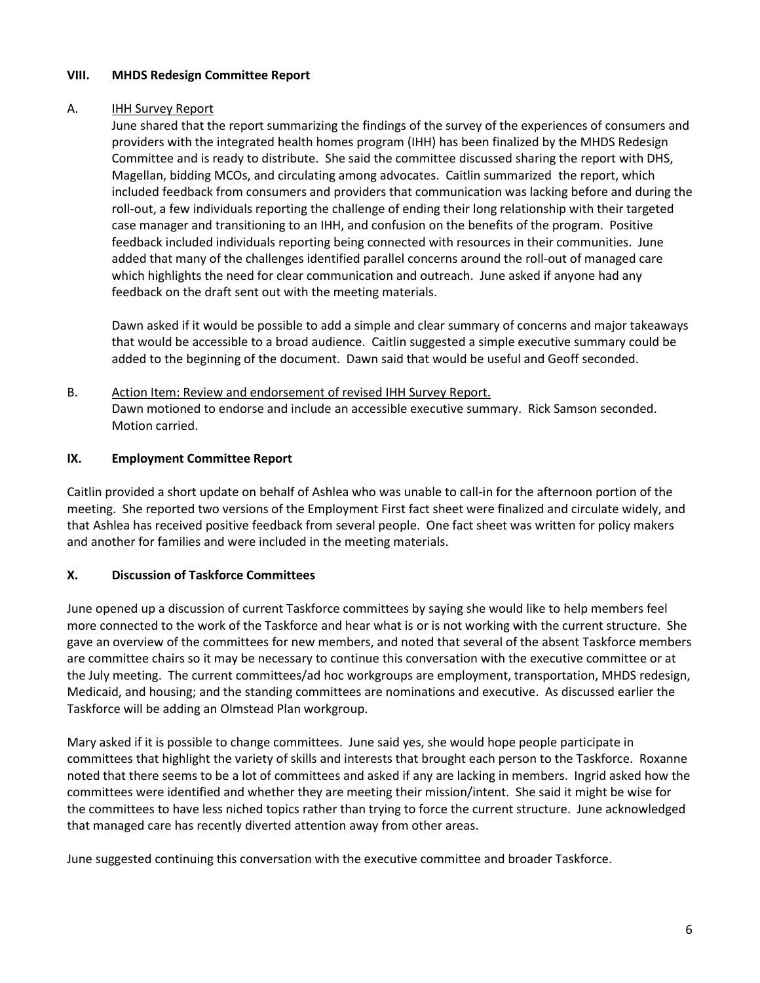### **VIII. MHDS Redesign Committee Report**

#### A. IHH Survey Report

June shared that the report summarizing the findings of the survey of the experiences of consumers and providers with the integrated health homes program (IHH) has been finalized by the MHDS Redesign Committee and is ready to distribute. She said the committee discussed sharing the report with DHS, Magellan, bidding MCOs, and circulating among advocates. Caitlin summarized the report, which included feedback from consumers and providers that communication was lacking before and during the roll-out, a few individuals reporting the challenge of ending their long relationship with their targeted case manager and transitioning to an IHH, and confusion on the benefits of the program. Positive feedback included individuals reporting being connected with resources in their communities. June added that many of the challenges identified parallel concerns around the roll-out of managed care which highlights the need for clear communication and outreach. June asked if anyone had any feedback on the draft sent out with the meeting materials.

Dawn asked if it would be possible to add a simple and clear summary of concerns and major takeaways that would be accessible to a broad audience. Caitlin suggested a simple executive summary could be added to the beginning of the document. Dawn said that would be useful and Geoff seconded.

B. Action Item: Review and endorsement of revised IHH Survey Report. Dawn motioned to endorse and include an accessible executive summary. Rick Samson seconded. Motion carried.

### **IX. Employment Committee Report**

Caitlin provided a short update on behalf of Ashlea who was unable to call-in for the afternoon portion of the meeting. She reported two versions of the Employment First fact sheet were finalized and circulate widely, and that Ashlea has received positive feedback from several people. One fact sheet was written for policy makers and another for families and were included in the meeting materials.

# **X. Discussion of Taskforce Committees**

June opened up a discussion of current Taskforce committees by saying she would like to help members feel more connected to the work of the Taskforce and hear what is or is not working with the current structure. She gave an overview of the committees for new members, and noted that several of the absent Taskforce members are committee chairs so it may be necessary to continue this conversation with the executive committee or at the July meeting. The current committees/ad hoc workgroups are employment, transportation, MHDS redesign, Medicaid, and housing; and the standing committees are nominations and executive. As discussed earlier the Taskforce will be adding an Olmstead Plan workgroup.

Mary asked if it is possible to change committees. June said yes, she would hope people participate in committees that highlight the variety of skills and interests that brought each person to the Taskforce. Roxanne noted that there seems to be a lot of committees and asked if any are lacking in members. Ingrid asked how the committees were identified and whether they are meeting their mission/intent. She said it might be wise for the committees to have less niched topics rather than trying to force the current structure. June acknowledged that managed care has recently diverted attention away from other areas.

June suggested continuing this conversation with the executive committee and broader Taskforce.